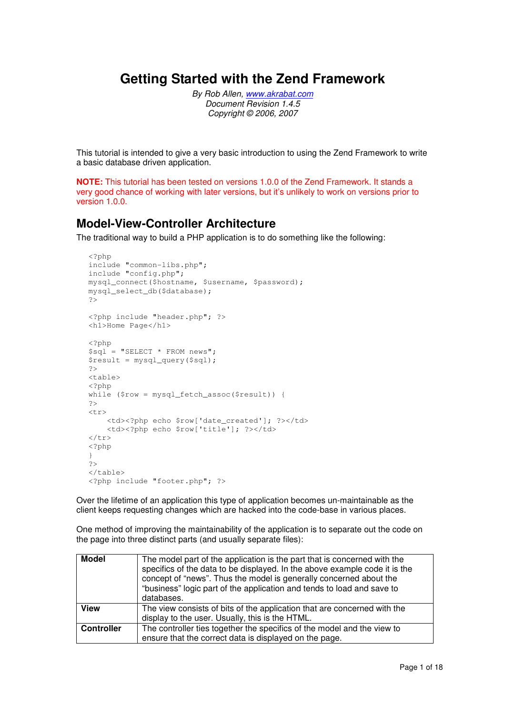### **Getting Started with the Zend Framework**

By Rob Allen, www.akrabat.com Document Revision 1.4.5 Copyright © 2006, 2007

This tutorial is intended to give a very basic introduction to using the Zend Framework to write a basic database driven application.

**NOTE:** This tutorial has been tested on versions 1.0.0 of the Zend Framework. It stands a very good chance of working with later versions, but it's unlikely to work on versions prior to version 1.0.0.

### **Model-View-Controller Architecture**

The traditional way to build a PHP application is to do something like the following:

```
<?php 
include "common-libs.php"; 
include "config.php"; 
mysql_connect($hostname, $username, $password); 
mysql_select_db($database); 
?> 
<?php include "header.php"; ?> 
<h1>Home Page</h1> 
<?php 
\overrightarrow{sg1} = "SELECT * FROM news";
$result = mysql_query($sql); 
?> 
<table> 
<?php 
while ($row = mysql_fetch_assoc($result)) { 
?> 
<tr> 
    <td><?php echo $row['date_created']; ?></td>
    <td><?php echo $row['title']; ?></td>
\langle/tr>
<?php 
} 
?> 
\langle/table>
<?php include "footer.php"; ?>
```
Over the lifetime of an application this type of application becomes un-maintainable as the client keeps requesting changes which are hacked into the code-base in various places.

One method of improving the maintainability of the application is to separate out the code on the page into three distinct parts (and usually separate files):

| The model part of the application is the part that is concerned with the<br>specifics of the data to be displayed. In the above example code it is the<br>concept of "news". Thus the model is generally concerned about the<br>"business" logic part of the application and tends to load and save to<br>databases. |
|----------------------------------------------------------------------------------------------------------------------------------------------------------------------------------------------------------------------------------------------------------------------------------------------------------------------|
| The view consists of bits of the application that are concerned with the<br>display to the user. Usually, this is the HTML.                                                                                                                                                                                          |
| The controller ties together the specifics of the model and the view to<br>ensure that the correct data is displayed on the page.                                                                                                                                                                                    |
|                                                                                                                                                                                                                                                                                                                      |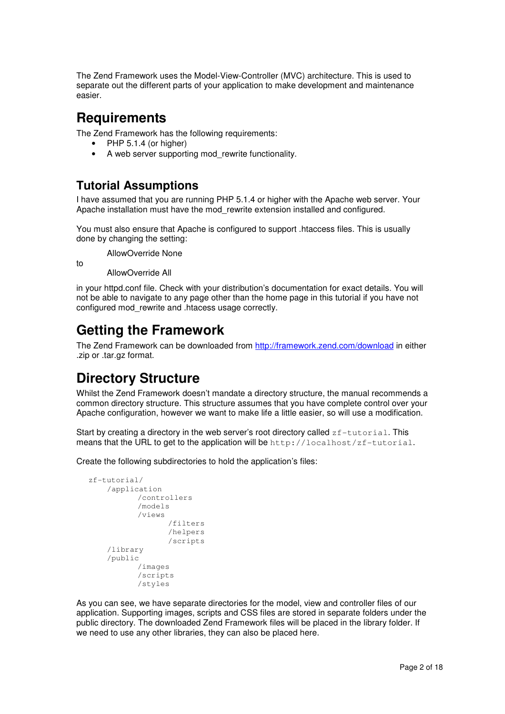The Zend Framework uses the Model-View-Controller (MVC) architecture. This is used to separate out the different parts of your application to make development and maintenance easier.

### **Requirements**

The Zend Framework has the following requirements:

- PHP 5.1.4 (or higher)
- A web server supporting mod rewrite functionality.

### **Tutorial Assumptions**

I have assumed that you are running PHP 5.1.4 or higher with the Apache web server. Your Apache installation must have the mod\_rewrite extension installed and configured.

You must also ensure that Apache is configured to support .htaccess files. This is usually done by changing the setting:

AllowOverride None

AllowOverride All

to

in your httpd.conf file. Check with your distribution's documentation for exact details. You will not be able to navigate to any page other than the home page in this tutorial if you have not configured mod\_rewrite and .htacess usage correctly.

# **Getting the Framework**

The Zend Framework can be downloaded from http://framework.zend.com/download in either .zip or .tar.gz format.

# **Directory Structure**

Whilst the Zend Framework doesn't mandate a directory structure, the manual recommends a common directory structure. This structure assumes that you have complete control over your Apache configuration, however we want to make life a little easier, so will use a modification.

Start by creating a directory in the web server's root directory called  $zf-tutorial$ . This means that the URL to get to the application will be  $http://localhost/zf-tutorial.$ 

Create the following subdirectories to hold the application's files:

```
zf-tutorial/ 
      /application 
              /controllers 
              /models 
              /views 
                       /filters 
                       /helpers 
                       /scripts 
      /library 
      /public 
              /images 
              /scripts 
              /styles
```
As you can see, we have separate directories for the model, view and controller files of our application. Supporting images, scripts and CSS files are stored in separate folders under the public directory. The downloaded Zend Framework files will be placed in the library folder. If we need to use any other libraries, they can also be placed here.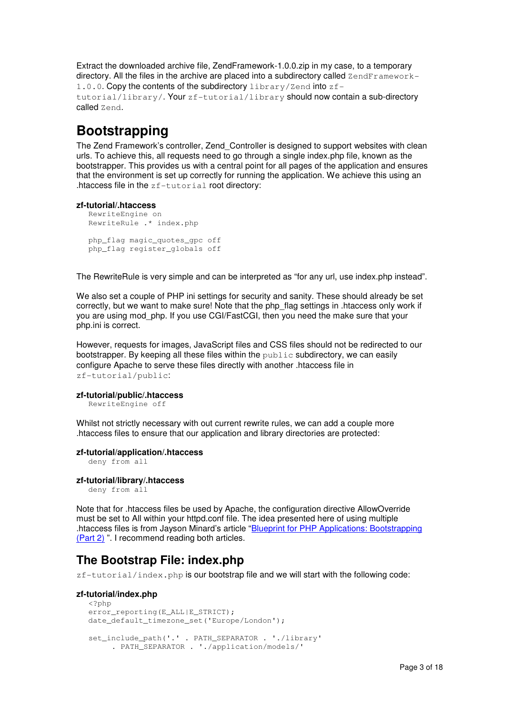Extract the downloaded archive file, ZendFramework-1.0.0.zip in my case, to a temporary directory. All the files in the archive are placed into a subdirectory called  $\text{ZendFramework}$ 1.0.0. Copy the contents of the subdirectory library/Zend into zftutorial/library/. Your zf-tutorial/library should now contain a sub-directory called Zend.

# **Bootstrapping**

The Zend Framework's controller, Zend\_Controller is designed to support websites with clean urls. To achieve this, all requests need to go through a single index.php file, known as the bootstrapper. This provides us with a central point for all pages of the application and ensures that the environment is set up correctly for running the application. We achieve this using an .htaccess file in the zf-tutorial root directory:

#### **zf-tutorial/.htaccess**

```
RewriteEngine on 
RewriteRule .* index.php 
php_flag magic_quotes_gpc off 
php_flag register_globals off
```
The RewriteRule is very simple and can be interpreted as "for any url, use index.php instead".

We also set a couple of PHP ini settings for security and sanity. These should already be set correctly, but we want to make sure! Note that the php\_flag settings in .htaccess only work if you are using mod php. If you use CGI/FastCGI, then you need the make sure that your php.ini is correct.

However, requests for images, JavaScript files and CSS files should not be redirected to our bootstrapper. By keeping all these files within the  $\text{public}$  subdirectory, we can easily configure Apache to serve these files directly with another .htaccess file in zf-tutorial/public:

#### **zf-tutorial/public/.htaccess**

RewriteEngine off

Whilst not strictly necessary with out current rewrite rules, we can add a couple more .htaccess files to ensure that our application and library directories are protected:

#### **zf-tutorial/application/.htaccess**

deny from all

#### **zf-tutorial/library/.htaccess**

deny from all

Note that for .htaccess files be used by Apache, the configuration directive AllowOverride must be set to All within your httpd.conf file. The idea presented here of using multiple .htaccess files is from Jayson Minard's article "Blueprint for PHP Applications: Bootstrapping (Part 2) ". I recommend reading both articles.

### **The Bootstrap File: index.php**

zf-tutorial/index.php is our bootstrap file and we will start with the following code:

#### **zf-tutorial/index.php**

```
<?php 
error_reporting(E_ALL|E_STRICT);
date_default_timezone_set('Europe/London'); 
set include path('.' . PATH_SEPARATOR . './library'
      . PATH_SEPARATOR . './application/models/'
```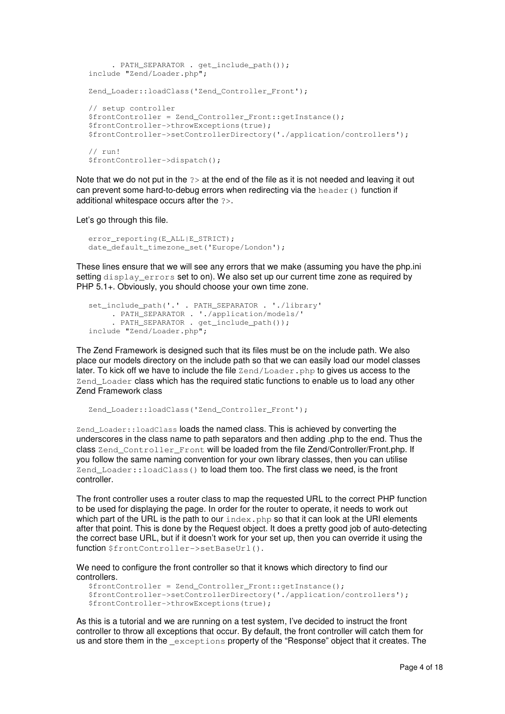```
 . PATH_SEPARATOR . get_include_path()); 
include "Zend/Loader.php"; 
Zend Loader::loadClass('Zend Controller Front');
// setup controller 
$frontController = Zend_Controller_Front::getInstance(); 
$frontController->throwExceptions(true); 
$frontController->setControllerDirectory('./application/controllers'); 
// run! 
$frontController->dispatch();
```
Note that we do not put in the  $\gg$  at the end of the file as it is not needed and leaving it out can prevent some hard-to-debug errors when redirecting via the  $he$   $\alpha$ eader () function if additional whitespace occurs after the ?>.

Let's go through this file.

```
error_reporting(E_ALL|E_STRICT);
date_default_timezone_set('Europe/London');
```
These lines ensure that we will see any errors that we make (assuming you have the php.ini setting display errors set to on). We also set up our current time zone as required by PHP 5.1+. Obviously, you should choose your own time zone.

```
set_include_path('.' . PATH_SEPARATOR . './library'
 . PATH_SEPARATOR . './application/models/' 
 . PATH_SEPARATOR . get_include_path()); 
include "Zend/Loader.php";
```
The Zend Framework is designed such that its files must be on the include path. We also place our models directory on the include path so that we can easily load our model classes later. To kick off we have to include the file Zend/Loader.php to gives us access to the Zend\_Loader class which has the required static functions to enable us to load any other Zend Framework class

```
Zend_Loader::loadClass('Zend_Controller_Front');
```
Zend Loader:: loadClass loads the named class. This is achieved by converting the underscores in the class name to path separators and then adding .php to the end. Thus the class Zend\_Controller\_Front will be loaded from the file Zend/Controller/Front.php. If you follow the same naming convention for your own library classes, then you can utilise Zend\_Loader::loadClass() to load them too. The first class we need, is the front controller.

The front controller uses a router class to map the requested URL to the correct PHP function to be used for displaying the page. In order for the router to operate, it needs to work out which part of the URL is the path to our  $index.$  php so that it can look at the URI elements after that point. This is done by the Request object. It does a pretty good job of auto-detecting the correct base URL, but if it doesn't work for your set up, then you can override it using the function \$frontController->setBaseUrl().

We need to configure the front controller so that it knows which directory to find our controllers.

```
$frontController = Zend_Controller_Front::getInstance(); 
$frontController->setControllerDirectory('./application/controllers'); 
$frontController->throwExceptions(true);
```
As this is a tutorial and we are running on a test system, I've decided to instruct the front controller to throw all exceptions that occur. By default, the front controller will catch them for us and store them in the exceptions property of the "Response" object that it creates. The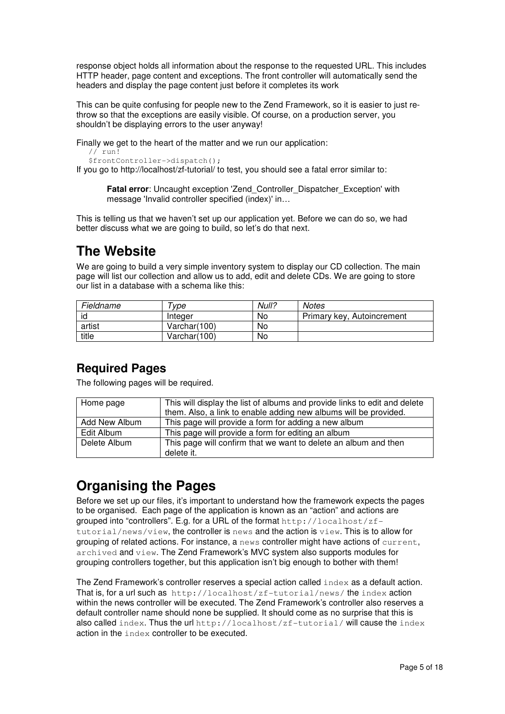response object holds all information about the response to the requested URL. This includes HTTP header, page content and exceptions. The front controller will automatically send the headers and display the page content just before it completes its work

This can be quite confusing for people new to the Zend Framework, so it is easier to just rethrow so that the exceptions are easily visible. Of course, on a production server, you shouldn't be displaying errors to the user anyway!

Finally we get to the heart of the matter and we run our application:

```
1/\text{run}$frontController->dispatch();
```
If you go to http://localhost/zf-tutorial/ to test, you should see a fatal error similar to:

**Fatal error:** Uncaught exception 'Zend\_Controller\_Dispatcher\_Exception' with message 'Invalid controller specified (index)' in…

This is telling us that we haven't set up our application yet. Before we can do so, we had better discuss what we are going to build, so let's do that next.

# **The Website**

We are going to build a very simple inventory system to display our CD collection. The main page will list our collection and allow us to add, edit and delete CDs. We are going to store our list in a database with a schema like this:

| Fieldname | vpe          | Null? | <b>Notes</b>               |
|-----------|--------------|-------|----------------------------|
| id        | Integer      | No    | Primary key, Autoincrement |
| artist    | Varchar(100) | No    |                            |
| title     | Varchar(100) | No    |                            |

### **Required Pages**

The following pages will be required.

| Home page     | This will display the list of albums and provide links to edit and delete |  |  |
|---------------|---------------------------------------------------------------------------|--|--|
|               | them. Also, a link to enable adding new albums will be provided.          |  |  |
| Add New Album | This page will provide a form for adding a new album                      |  |  |
| Edit Album    | This page will provide a form for editing an album                        |  |  |
| Delete Album  | This page will confirm that we want to delete an album and then           |  |  |
|               | delete it.                                                                |  |  |

# **Organising the Pages**

Before we set up our files, it's important to understand how the framework expects the pages to be organised. Each page of the application is known as an "action" and actions are grouped into "controllers". E.g. for a URL of the format  $http://localhost/zf$ tutorial/news/view, the controller is news and the action is view. This is to allow for grouping of related actions. For instance, a news controller might have actions of current, archived and view. The Zend Framework's MVC system also supports modules for grouping controllers together, but this application isn't big enough to bother with them!

The Zend Framework's controller reserves a special action called index as a default action. That is, for a url such as http://localhost/zf-tutorial/news/ the index action within the news controller will be executed. The Zend Framework's controller also reserves a default controller name should none be supplied. It should come as no surprise that this is also called index. Thus the url  $http://localhost/zf-tutorial/$  will cause the index action in the index controller to be executed.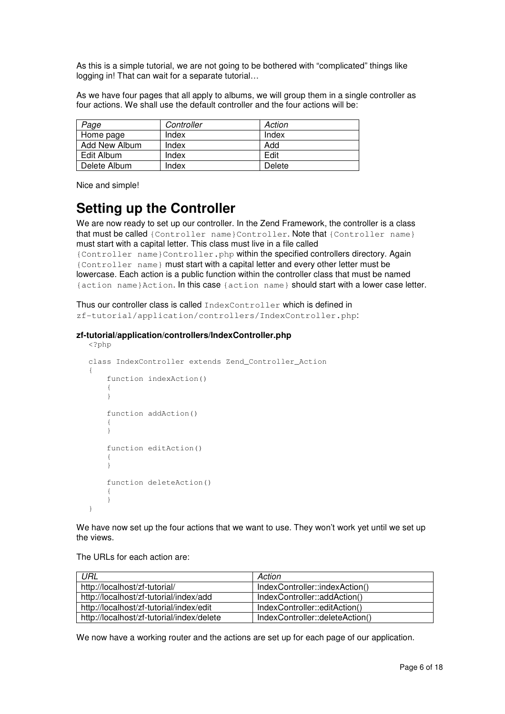As this is a simple tutorial, we are not going to be bothered with "complicated" things like logging in! That can wait for a separate tutorial…

As we have four pages that all apply to albums, we will group them in a single controller as four actions. We shall use the default controller and the four actions will be:

| Page          | Controller | Action |
|---------------|------------|--------|
| Home page     | Index      | Index  |
| Add New Album | Index      | Add    |
| Edit Album    | Index      | Edit   |
| Delete Album  | Index      | Delete |

Nice and simple!

# **Setting up the Controller**

We are now ready to set up our controller. In the Zend Framework, the controller is a class that must be called {Controller name}Controller. Note that {Controller name} must start with a capital letter. This class must live in a file called {Controller name}Controller.php within the specified controllers directory. Again {Controller name} must start with a capital letter and every other letter must be lowercase. Each action is a public function within the controller class that must be named {action name}Action. In this case {action name} should start with a lower case letter.

Thus our controller class is called IndexController which is defined in zf-tutorial/application/controllers/IndexController.php:

#### **zf-tutorial/application/controllers/IndexController.php**

```
<?php 
class IndexController extends Zend_Controller_Action 
{ 
      function indexAction() 
       { 
       } 
      function addAction() 
\left\{\begin{array}{ccc} \end{array}\right. } 
      function editAction() 
       { 
       } 
      function deleteAction() 
       { 
 } 
}
```
We have now set up the four actions that we want to use. They won't work yet until we set up the views.

The URLs for each action are:

| URL                                       | Action                          |
|-------------------------------------------|---------------------------------|
| http://localhost/zf-tutorial/             | IndexController::indexAction()  |
| http://localhost/zf-tutorial/index/add    | IndexController::addAction()    |
| http://localhost/zf-tutorial/index/edit   | IndexController::editAction()   |
| http://localhost/zf-tutorial/index/delete | IndexController::deleteAction() |

We now have a working router and the actions are set up for each page of our application.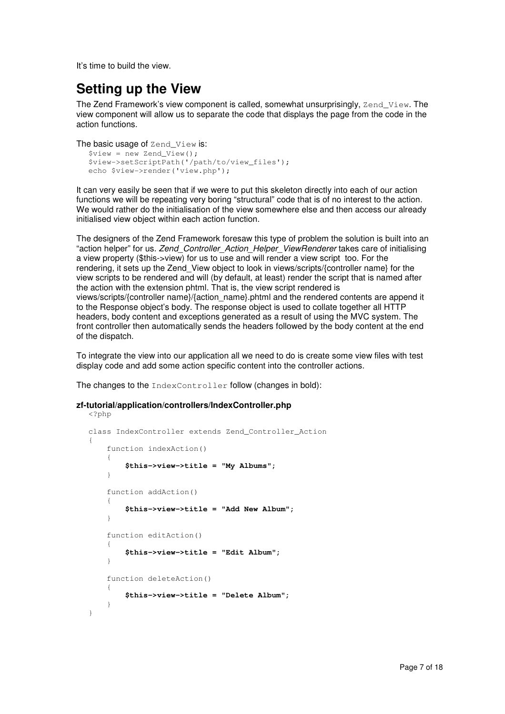It's time to build the view.

# **Setting up the View**

The Zend Framework's view component is called, somewhat unsurprisingly, Zend View. The view component will allow us to separate the code that displays the page from the code in the action functions.

```
The basic usage of Zend View is:
```

```
$view = new Zend_View();
$view->setScriptPath('/path/to/view_files'); 
echo $view->render('view.php');
```
It can very easily be seen that if we were to put this skeleton directly into each of our action functions we will be repeating very boring "structural" code that is of no interest to the action. We would rather do the initialisation of the view somewhere else and then access our already initialised view object within each action function.

The designers of the Zend Framework foresaw this type of problem the solution is built into an "action helper" for us. Zend\_Controller\_Action\_Helper\_ViewRenderer takes care of initialising a view property (\$this->view) for us to use and will render a view script too. For the rendering, it sets up the Zend\_View object to look in views/scripts/{controller name} for the view scripts to be rendered and will (by default, at least) render the script that is named after the action with the extension phtml. That is, the view script rendered is views/scripts/{controller name}/{action\_name}.phtml and the rendered contents are append it to the Response object's body. The response object is used to collate together all HTTP headers, body content and exceptions generated as a result of using the MVC system. The front controller then automatically sends the headers followed by the body content at the end of the dispatch.

To integrate the view into our application all we need to do is create some view files with test display code and add some action specific content into the controller actions.

The changes to the IndexController follow (changes in bold):

#### **zf-tutorial/application/controllers/IndexController.php**

```
<?php 
class IndexController extends Zend_Controller_Action 
{ 
     function indexAction() 
      { 
          $this->view->title = "My Albums"; 
     } 
     function addAction() 
      { 
          $this->view->title = "Add New Album"; 
 } 
     function editAction() 
      { 
          $this->view->title = "Edit Album"; 
      } 
     function deleteAction() 
      { 
          $this->view->title = "Delete Album"; 
      } 
}
```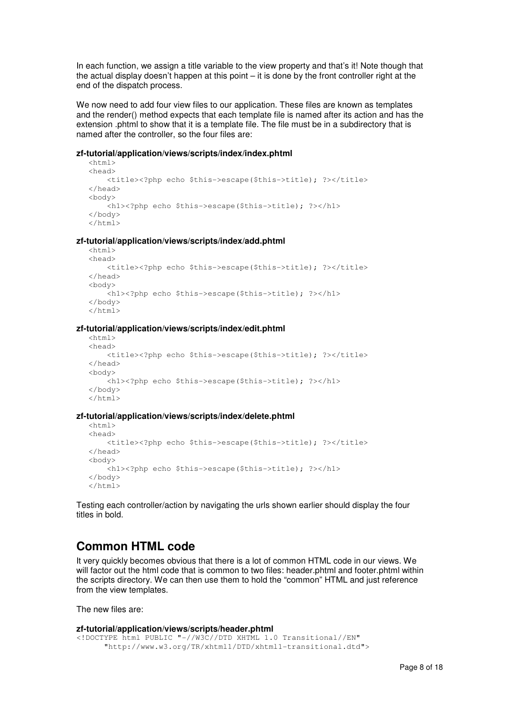In each function, we assign a title variable to the view property and that's it! Note though that the actual display doesn't happen at this point – it is done by the front controller right at the end of the dispatch process.

We now need to add four view files to our application. These files are known as templates and the render() method expects that each template file is named after its action and has the extension .phtml to show that it is a template file. The file must be in a subdirectory that is named after the controller, so the four files are:

#### **zf-tutorial/application/views/scripts/index/index.phtml**

```
<html> 
<head> 
     <title><?php echo $this->escape($this->title); ?></title> 
</head> 
<body> 
     <h1><?php echo $this->escape($this->title); ?></h1> 
</body> 
</html>
```
#### **zf-tutorial/application/views/scripts/index/add.phtml**

```
\left\langle \text{h} \text{+m} \right\rangle<head> 
      <title><?php echo $this->escape($this->title); ?></title> 
</head> 
<body> 
     -<br><h1><?php echo $this->escape($this->title); ?></h1>
</body> 
\frac{1}{2}
```
#### **zf-tutorial/application/views/scripts/index/edit.phtml**

```
<h+ml><head> 
     <title><?php echo $this->escape($this->title); ?></title> 
</head> 
<body> 
     <h1><?php echo $this->escape($this->title); ?></h1> 
</body> 
\langle/html>
```
#### **zf-tutorial/application/views/scripts/index/delete.phtml**

```
<html><head> 
    <title><?php echo $this->escape($this->title); ?></title>
</head> 
<body> 
     <h1><?php echo $this->escape($this->title); ?></h1> 
</body> 
</html>
```
Testing each controller/action by navigating the urls shown earlier should display the four titles in bold.

### **Common HTML code**

It very quickly becomes obvious that there is a lot of common HTML code in our views. We will factor out the html code that is common to two files: header.phtml and footer.phtml within the scripts directory. We can then use them to hold the "common" HTML and just reference from the view templates.

The new files are:

```
zf-tutorial/application/views/scripts/header.phtml 
<!DOCTYPE html PUBLIC "-//W3C//DTD XHTML 1.0 Transitional//EN" 
       "http://www.w3.org/TR/xhtml1/DTD/xhtml1-transitional.dtd">
```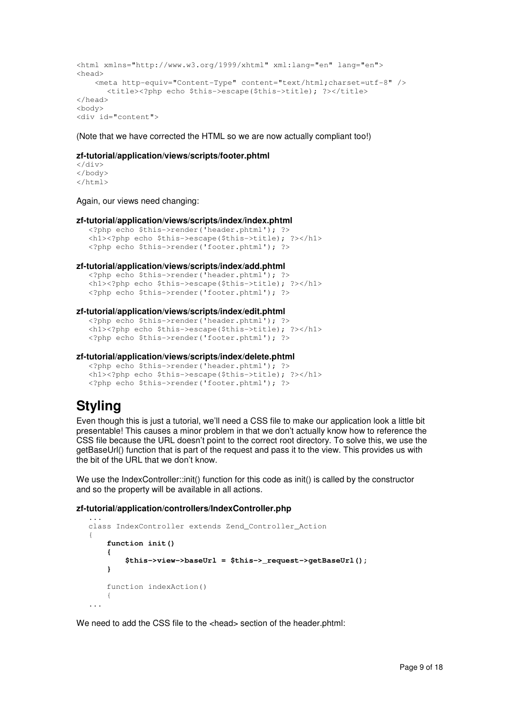```
<html xmlns="http://www.w3.org/1999/xhtml" xml:lang="en" lang="en"> 
<head> 
     <meta http-equiv="Content-Type" content="text/html;charset=utf-8" /> 
      <title><?php echo $this->escape($this->title); ?></title>
</head> 
<body> 
<div id="content">
```
(Note that we have corrected the HTML so we are now actually compliant too!)

#### **zf-tutorial/application/views/scripts/footer.phtml**

 $\langle$ div> </body> </html>

Again, our views need changing:

#### **zf-tutorial/application/views/scripts/index/index.phtml**

```
<?php echo $this->render('header.phtml'); ?> 
<h1><?php echo $this->escape($this->title); ?></h1>
<?php echo $this->render('footer.phtml'); ?>
```
#### **zf-tutorial/application/views/scripts/index/add.phtml**

```
<?php echo $this->render('header.phtml'); ?> 
<h1><?php echo $this->escape($this->title); ?></h1>
<?php echo $this->render('footer.phtml'); ?>
```
#### **zf-tutorial/application/views/scripts/index/edit.phtml**

```
<?php echo $this->render('header.phtml'); ?> 
<h1><?php echo $this->escape($this->title); ?></h1>
<?php echo $this->render('footer.phtml'); ?>
```
#### **zf-tutorial/application/views/scripts/index/delete.phtml**

```
<?php echo $this->render('header.phtml'); ?> 
<h1><?php echo $this->escape($this->title); ?></h1>
<?php echo $this->render('footer.phtml'); ?>
```
### **Styling**

...

Even though this is just a tutorial, we'll need a CSS file to make our application look a little bit presentable! This causes a minor problem in that we don't actually know how to reference the CSS file because the URL doesn't point to the correct root directory. To solve this, we use the getBaseUrl() function that is part of the request and pass it to the view. This provides us with the bit of the URL that we don't know.

We use the IndexController::init() function for this code as init() is called by the constructor and so the property will be available in all actions.

#### **zf-tutorial/application/controllers/IndexController.php**

```
class IndexController extends Zend_Controller_Action 
{ 
     function init() 
     { 
          $this->view->baseUrl = $this->_request->getBaseUrl(); 
     } 
     function indexAction() 
     { 
...
```
We need to add the CSS file to the <head> section of the header.phtml: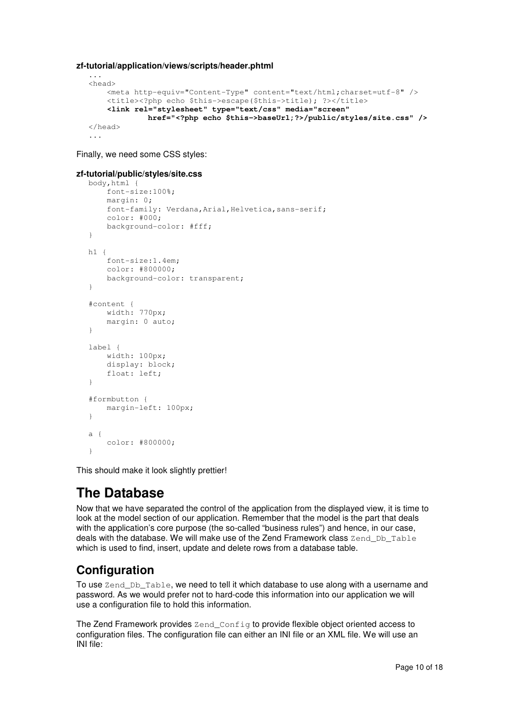#### **zf-tutorial/application/views/scripts/header.phtml**

```
... 
<head> 
     <meta http-equiv="Content-Type" content="text/html;charset=utf-8" /> 
     <title><?php echo $this->escape($this->title); ?></title> 
    <link rel="stylesheet" type="text/css" media="screen" 
              href="<?php echo $this->baseUrl;?>/public/styles/site.css" /> 
</head> 
...
```
Finally, we need some CSS styles:

#### **zf-tutorial/public/styles/site.css**

```
body,html { 
      font-size:100%; 
     margin: 0; 
     font-family: Verdana, Arial, Helvetica, sans-serif;
      color: #000; 
      background-color: #fff; 
} 
h1 { 
      font-size:1.4em; 
     color: #800000; 
     background-color: transparent; 
} 
#content { 
     width: 770px; 
     margin: 0 auto; 
} 
label { 
     width: 100px; 
     display: block; 
      float: left; 
} 
#formbutton { 
     margin-left: 100px; 
} 
a { 
      color: #800000; 
\lambda
```
This should make it look slightly prettier!

# **The Database**

Now that we have separated the control of the application from the displayed view, it is time to look at the model section of our application. Remember that the model is the part that deals with the application's core purpose (the so-called "business rules") and hence, in our case, deals with the database. We will make use of the Zend Framework class Zend Db Table which is used to find, insert, update and delete rows from a database table.

### **Configuration**

To use Zend\_Db\_Table, we need to tell it which database to use along with a username and password. As we would prefer not to hard-code this information into our application we will use a configuration file to hold this information.

The Zend Framework provides Zend\_Config to provide flexible object oriented access to configuration files. The configuration file can either an INI file or an XML file. We will use an INI file: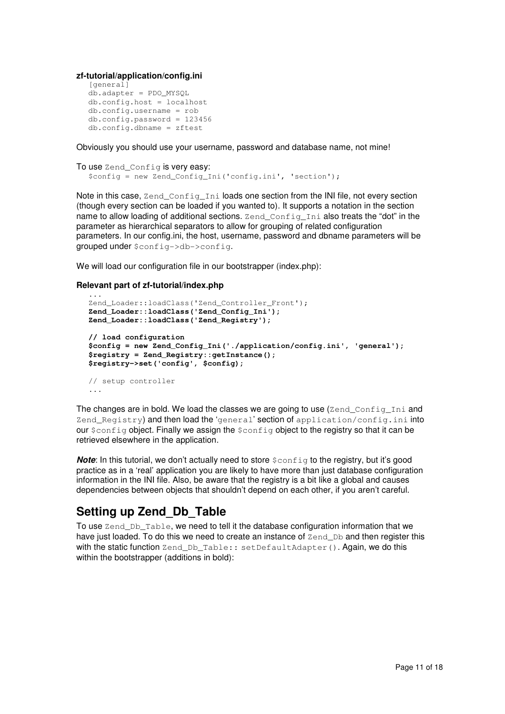**zf-tutorial/application/config.ini** 

```
[general] 
db.adapter = PDO_MYSQL 
db.config.host = localhost 
db.config.username = rob 
db.config.pack = 123456db.config.dbname = zftest
```
Obviously you should use your username, password and database name, not mine!

```
To use Zend Config is very easy:
  $config = new Zend_Config_Ini('config.ini', 'section');
```
Note in this case,  $\text{Zend\_Config\_Ini}$  loads one section from the INI file, not every section (though every section can be loaded if you wanted to). It supports a notation in the section name to allow loading of additional sections. Zend\_Config\_Ini also treats the "dot" in the parameter as hierarchical separators to allow for grouping of related configuration parameters. In our config.ini, the host, username, password and dbname parameters will be grouped under \$config->db->config.

We will load our configuration file in our bootstrapper (index.php):

#### **Relevant part of zf-tutorial/index.php**

```
... 
Zend_Loader::loadClass('Zend_Controller_Front'); 
Zend_Loader::loadClass('Zend_Config_Ini'); 
Zend_Loader::loadClass('Zend_Registry'); 
// load configuration 
$config = new Zend_Config_Ini('./application/config.ini', 'general'); 
$registry = Zend_Registry::getInstance(); 
$registry->set('config', $config); 
// setup controller 
...
```
The changes are in bold. We load the classes we are going to use (Zend Config. Ini and Zend\_Registry) and then load the 'general' section of application/config.ini into our  $\frac{1}{2}$  object. Finally we assign the  $\frac{1}{2}$  config object to the registry so that it can be retrieved elsewhere in the application.

**Note:** In this tutorial, we don't actually need to store  $\frac{1}{2}$  for the registry, but it's good practice as in a 'real' application you are likely to have more than just database configuration information in the INI file. Also, be aware that the registry is a bit like a global and causes dependencies between objects that shouldn't depend on each other, if you aren't careful.

### **Setting up Zend\_Db\_Table**

To use Zend Db Table, we need to tell it the database configuration information that we have just loaded. To do this we need to create an instance of Zend Db and then register this with the static function Zend Db Table:: setDefaultAdapter(). Again, we do this within the bootstrapper (additions in bold):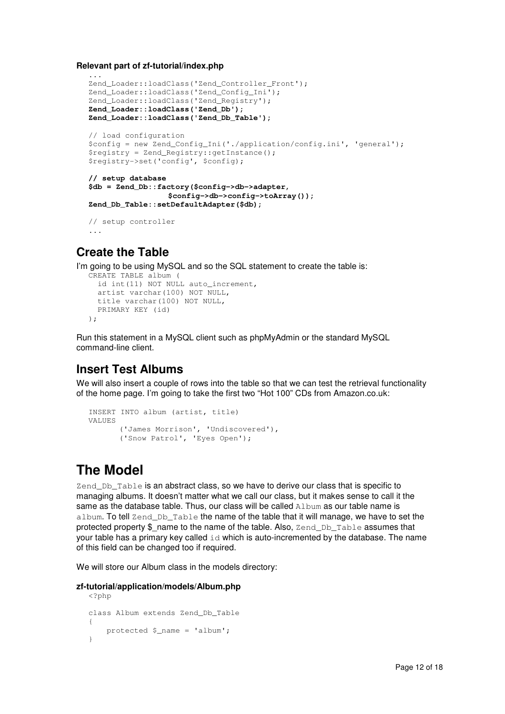**Relevant part of zf-tutorial/index.php** 

```
... 
Zend Loader::loadClass('Zend Controller Front');
Zend_Loader::loadClass('Zend_Config_Ini'); 
Zend_Loader::loadClass('Zend_Registry'); 
Zend_Loader::loadClass('Zend_Db'); 
Zend_Loader::loadClass('Zend_Db_Table'); 
// load configuration 
$config = new Zend_Config_Ini('./application/config.ini', 'general'); 
$registry = Zend_Registry::getInstance(); 
$registry->set('config', $config); 
// setup database 
$db = Zend_Db::factory($config->db->adapter, 
                  $config->db->config->toArray()); 
Zend_Db_Table::setDefaultAdapter($db); 
// setup controller 
...
```
### **Create the Table**

I'm going to be using MySQL and so the SQL statement to create the table is:

```
CREATE TABLE album ( 
   id int(11) NOT NULL auto_increment, 
   artist varchar(100) NOT NULL, 
   title varchar(100) NOT NULL, 
   PRIMARY KEY (id) 
);
```
Run this statement in a MySQL client such as phpMyAdmin or the standard MySQL command-line client.

### **Insert Test Albums**

We will also insert a couple of rows into the table so that we can test the retrieval functionality of the home page. I'm going to take the first two "Hot 100" CDs from Amazon.co.uk:

```
INSERT INTO album (artist, title) 
VALUES 
       ('James Morrison', 'Undiscovered'), 
       ('Snow Patrol', 'Eyes Open');
```
# **The Model**

Zend\_Db\_Table is an abstract class, so we have to derive our class that is specific to managing albums. It doesn't matter what we call our class, but it makes sense to call it the same as the database table. Thus, our class will be called Album as our table name is album. To tell Zend Db Table the name of the table that it will manage, we have to set the protected property  $\$$  name to the name of the table. Also,  $Zend$  Db  $Table$  assumes that your table has a primary key called  $\pm d$  which is auto-incremented by the database. The name of this field can be changed too if required.

We will store our Album class in the models directory:

#### **zf-tutorial/application/models/Album.php**

```
<?php 
class Album extends Zend_Db_Table 
{ 
     protected $_name = 'album'; 
}
```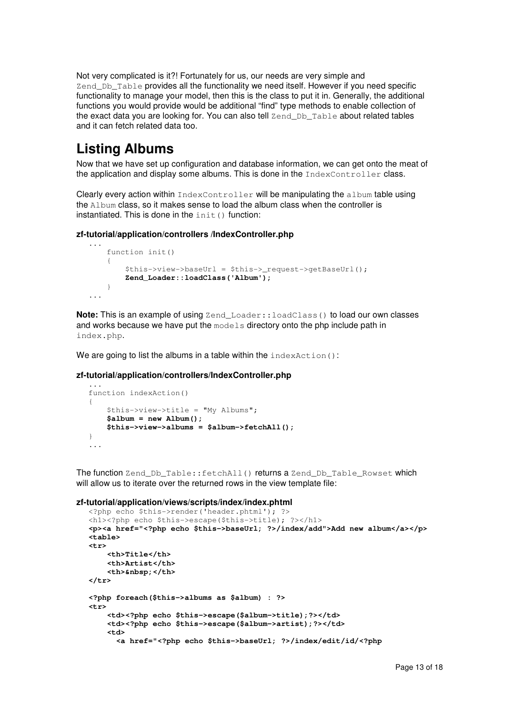Not very complicated is it?! Fortunately for us, our needs are very simple and Zend\_Db\_Table provides all the functionality we need itself. However if you need specific functionality to manage your model, then this is the class to put it in. Generally, the additional functions you would provide would be additional "find" type methods to enable collection of the exact data you are looking for. You can also tell Zend\_Db\_Table about related tables and it can fetch related data too.

# **Listing Albums**

...

Now that we have set up configuration and database information, we can get onto the meat of the application and display some albums. This is done in the IndexController class.

Clearly every action within IndexController will be manipulating the album table using the Album class, so it makes sense to load the album class when the controller is instantiated. This is done in the  $init()$  function:

#### **zf-tutorial/application/controllers /IndexController.php**

```
... 
     function init() 
     { 
        $this->view->baseUrl = $this-> request->getBaseUrl();
         Zend_Loader::loadClass('Album'); 
     } 
...
```
**Note:** This is an example of using  $\text{Zend\_Loader}$ :  $\text{loadClass}$  () to load our own classes and works because we have put the models directory onto the php include path in index.php.

We are going to list the albums in a table within the indexAction():

#### **zf-tutorial/application/controllers/IndexController.php**

```
function indexAction() 
{ 
     $this->view->title = "My Albums"; 
     $album = new Album(); 
     $this->view->albums = $album->fetchAll(); 
} 
...
```
The function Zend\_Db\_Table::fetchAll() returns a Zend\_Db\_Table\_Rowset which will allow us to iterate over the returned rows in the view template file:

#### **zf-tutorial/application/views/scripts/index/index.phtml**

```
<?php echo $this->render('header.phtml'); ?> 
<h1><?php echo $this->escape($this->title); ?></h1>
<p><a href="<?php echo $this->baseUrl; ?>/index/add">Add new album</a></p> 
<table> 
<tr> 
     <th>Title</th> 
     <th>Artist</th> 
     <th>&nbsp;</th> 
</tr> 
<?php foreach($this->albums as $album) : ?> 
<tr> 
     <td><?php echo $this->escape($album->title);?></td> 
     <td><?php echo $this->escape($album->artist);?></td> 
     <td> 
       <a href="<?php echo $this->baseUrl; ?>/index/edit/id/<?php
```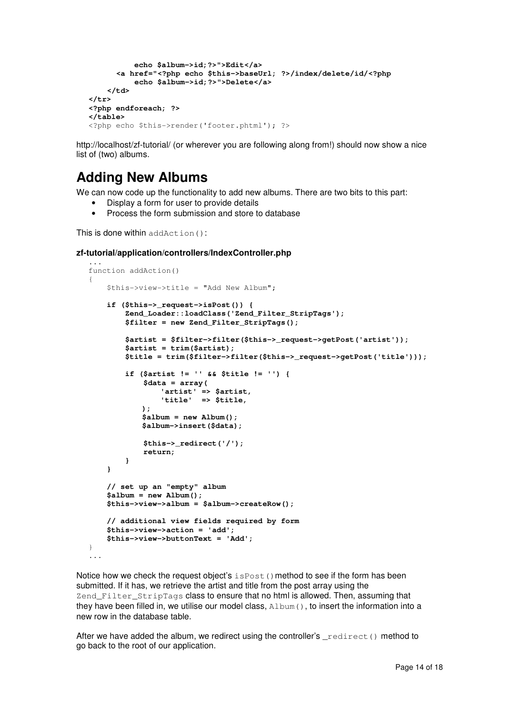```
 echo $album->id;?>">Edit</a> 
       <a href="<?php echo $this->baseUrl; ?>/index/delete/id/<?php 
           echo $album->id;?>">Delete</a> 
     </td> 
</tr> 
<?php endforeach; ?> 
</table> 
<?php echo $this->render('footer.phtml'); ?>
```
http://localhost/zf-tutorial/ (or wherever you are following along from!) should now show a nice list of (two) albums.

# **Adding New Albums**

We can now code up the functionality to add new albums. There are two bits to this part:

- Display a form for user to provide details
	- Process the form submission and store to database

This is done within addAction():

#### **zf-tutorial/application/controllers/IndexController.php**

```
... 
function addAction() 
{ 
     $this->view->title = "Add New Album"; 
     if ($this->_request->isPost()) { 
         Zend_Loader::loadClass('Zend_Filter_StripTags'); 
         $filter = new Zend_Filter_StripTags(); 
         $artist = $filter->filter($this->_request->getPost('artist')); 
         $artist = trim($artist); 
         $title = trim($filter->filter($this->_request->getPost('title'))); 
         if ($artist != '' && $title != '') { 
              $data = array( 
                  'artist' => $artist, 
                  'title' => $title, 
             ); 
              $album = new Album(); 
             $album->insert($data); 
              $this->_redirect('/'); 
              return; 
         } 
     } 
     // set up an "empty" album 
     $album = new Album(); 
     $this->view->album = $album->createRow(); 
     // additional view fields required by form 
     $this->view->action = 'add'; 
     $this->view->buttonText = 'Add'; 
} 
...
```
Notice how we check the request object's  $i$  sPost() method to see if the form has been submitted. If it has, we retrieve the artist and title from the post array using the Zend\_Filter\_StripTags class to ensure that no html is allowed. Then, assuming that they have been filled in, we utilise our model class, Album(), to insert the information into a new row in the database table.

After we have added the album, we redirect using the controller's  $relirect()$  method to go back to the root of our application.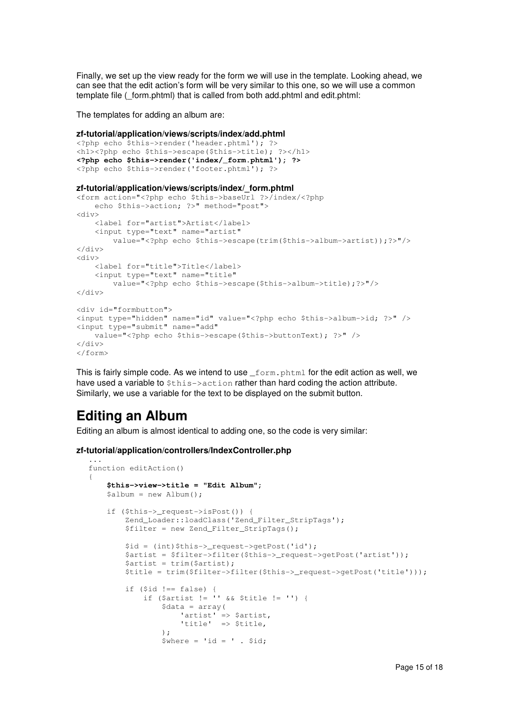Finally, we set up the view ready for the form we will use in the template. Looking ahead, we can see that the edit action's form will be very similar to this one, so we will use a common template file ( form.phtml) that is called from both add.phtml and edit.phtml:

The templates for adding an album are:

#### **zf-tutorial/application/views/scripts/index/add.phtml**

```
<?php echo $this->render('header.phtml'); ?> 
<h1><?php echo $this->escape($this->title); ?></h1>
<?php echo $this->render('index/_form.phtml'); ?> 
<?php echo $this->render('footer.phtml'); ?>
```
#### **zf-tutorial/application/views/scripts/index/\_form.phtml**

```
<form action="<?php echo $this->baseUrl ?>/index/<?php 
     echo $this->action; ?>" method="post"> 
<div> 
     <label for="artist">Artist</label> 
     <input type="text" name="artist" 
         value="<?php echo $this->escape(trim($this->album->artist));?>"/> 
>/div\sim<div> 
     <label for="title">Title</label> 
     <input type="text" name="title" 
         value="<?php echo $this->escape($this->album->title);?>"/> 
</div> 
<div id="formbutton"> 
<input type="hidden" name="id" value="<?php echo $this->album->id; ?>" /> 
<input type="submit" name="add" 
     value="<?php echo $this->escape($this->buttonText); ?>" /> 
</div> 
</form>
```
This is fairly simple code. As we intend to use  $f_{\text{form, phtml}}$  for the edit action as well, we have used a variable to  $$this$ - $\ge$ action rather than hard coding the action attribute. Similarly, we use a variable for the text to be displayed on the submit button.

### **Editing an Album**

{

Editing an album is almost identical to adding one, so the code is very similar:

#### **zf-tutorial/application/controllers/IndexController.php**

```
... 
function editAction() 
     $this->view->title = "Edit Album"; 
     $album = new Album(); 
     if ($this->_request->isPost()) { 
         Zend_Loader::loadClass('Zend_Filter_StripTags'); 
         $filter = new Zend_Filter_StripTags(); 
         $id = (int)$this->_request->getPost('id'); 
        $artist = $filter->filter($this-> request->getPost('artist'));
         $artist = trim($artist); 
        $title = trim(Sfilter->filter(Sthis->request->getPost('title'))); if ($id !== false) { 
 if ($artist != '' && $title != '') { 
                 $data = array( 
                     'artist' => $artist, 
                     'title' => $title, 
                 ); 
                $where = 'id = ' . $id;
```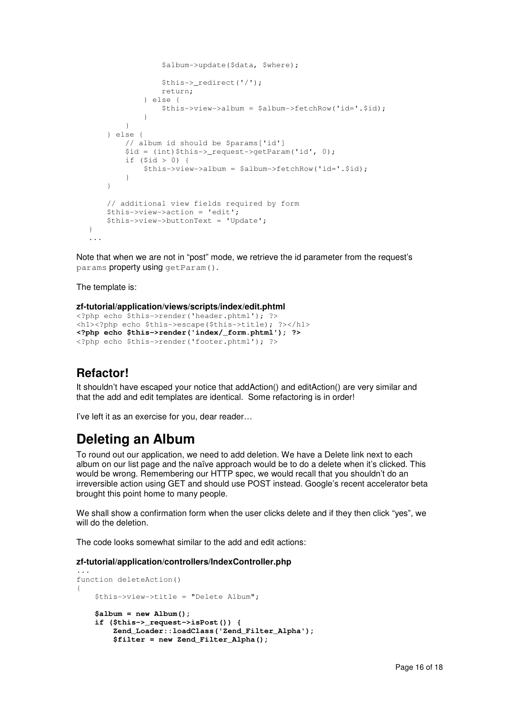```
 $album->update($data, $where); 
                  $this->_redirect('/'); 
                  return; 
              } else { 
                  $this->view->album = $album->fetchRow('id='.$id); 
 } 
         } 
     } else { 
         // album id should be $params['id'] 
         $id = (int)$this->_request->getParam('id', 0); 
         if ($id > 0) { 
              $this->view->album = $album->fetchRow('id='.$id); 
         } 
     } 
     // additional view fields required by form 
     $this->view->action = 'edit'; 
     $this->view->buttonText = 'Update'; 
} 
...
```
Note that when we are not in "post" mode, we retrieve the id parameter from the request's params property using getParam().

The template is:

```
zf-tutorial/application/views/scripts/index/edit.phtml
```

```
<?php echo $this->render('header.phtml'); ?> 
<h1><?php echo $this->escape($this->title); ?></h1>
<?php echo $this->render('index/_form.phtml'); ?> 
<?php echo $this->render('footer.phtml'); ?>
```
### **Refactor!**

It shouldn't have escaped your notice that addAction() and editAction() are very similar and that the add and edit templates are identical. Some refactoring is in order!

I've left it as an exercise for you, dear reader…

### **Deleting an Album**

To round out our application, we need to add deletion. We have a Delete link next to each album on our list page and the naïve approach would be to do a delete when it's clicked. This would be wrong. Remembering our HTTP spec, we would recall that you shouldn't do an irreversible action using GET and should use POST instead. Google's recent accelerator beta brought this point home to many people.

We shall show a confirmation form when the user clicks delete and if they then click "yes", we will do the deletion.

The code looks somewhat similar to the add and edit actions:

#### **zf-tutorial/application/controllers/IndexController.php**

```
... 
function deleteAction() 
{ 
     $this->view->title = "Delete Album"; 
     $album = new Album(); 
     if ($this->_request->isPost()) { 
         Zend_Loader::loadClass('Zend_Filter_Alpha'); 
         $filter = new Zend_Filter_Alpha();
```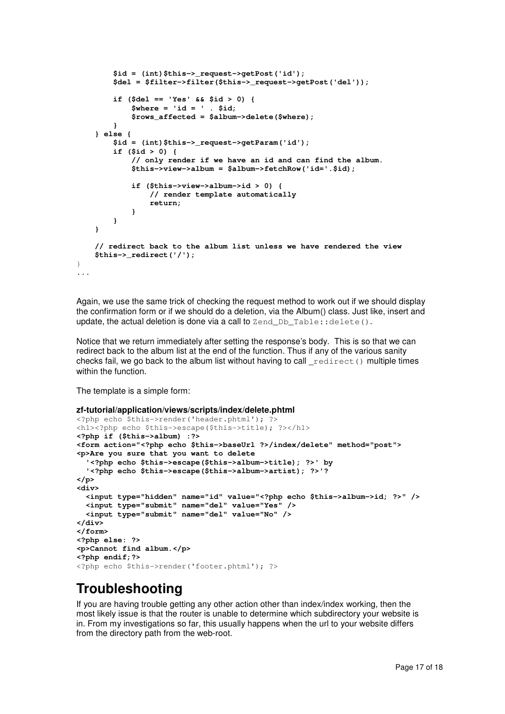```
 $id = (int)$this->_request->getPost('id'); 
         $del = $filter->filter($this->_request->getPost('del')); 
         if ($del == 'Yes' && $id > 0) { 
             $where = 'id = ' . $id; 
             $rows_affected = $album->delete($where); 
         } 
     } else { 
         $id = (int)$this->_request->getParam('id');
         if ($id > 0) { 
             // only render if we have an id and can find the album. 
             $this->view->album = $album->fetchRow('id='.$id); 
             if ($this->view->album->id > 0) { 
                  // render template automatically 
                  return; 
 } 
         } 
     } 
     // redirect back to the album list unless we have rendered the view 
     $this->_redirect('/'); 
} 
...
```
Again, we use the same trick of checking the request method to work out if we should display the confirmation form or if we should do a deletion, via the Album() class. Just like, insert and update, the actual deletion is done via a call to  $\text{Zend}\text{Db}\text{Table}::\text{delete}().$ 

Notice that we return immediately after setting the response's body. This is so that we can redirect back to the album list at the end of the function. Thus if any of the various sanity checks fail, we go back to the album list without having to call  $relirect()$  multiple times within the function.

The template is a simple form:

```
zf-tutorial/application/views/scripts/index/delete.phtml 
<?php echo $this->render('header.phtml'); ?> 
<h1><?php echo $this->escape($this->title); ?></h1>
<?php if ($this->album) :?> 
<form action="<?php echo $this->baseUrl ?>/index/delete" method="post"> 
<p>Are you sure that you want to delete 
   '<?php echo $this->escape($this->album->title); ?>' by 
   '<?php echo $this->escape($this->album->artist); ?>'? 
</p> 
<div> 
   <input type="hidden" name="id" value="<?php echo $this->album->id; ?>" /> 
   <input type="submit" name="del" value="Yes" /> 
   <input type="submit" name="del" value="No" /> 
</div> 
</form> 
<?php else: ?> 
<p>Cannot find album.</p> 
<?php endif;?> 
<?php echo $this->render('footer.phtml'); ?>
```
# **Troubleshooting**

If you are having trouble getting any other action other than index/index working, then the most likely issue is that the router is unable to determine which subdirectory your website is in. From my investigations so far, this usually happens when the url to your website differs from the directory path from the web-root.